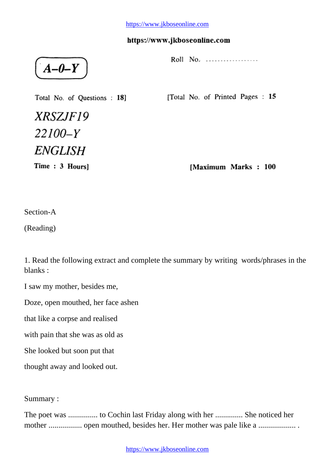$A - D - Y$ 

Total No. of Questions: 18]

Roll No. .................

[Total No. of Printed Pages: 15

XRSZJF19  $22100 - Y$ **ENGLISH** 

Time: 3 Hours]

[Maximum Marks: 100

Section-A

(Reading)

1. Read the following extract and complete the summary by writing words/phrases in the blanks :

I saw my mother, besides me,

Doze, open mouthed, her face ashen

that like a corpse and realised

with pain that she was as old as

She looked but soon put that

thought away and looked out.

Summary :

The poet was ............... to Cochin last Friday along with her .............. She noticed her mother ................. open mouthed, besides her. Her mother was pale like a ................... .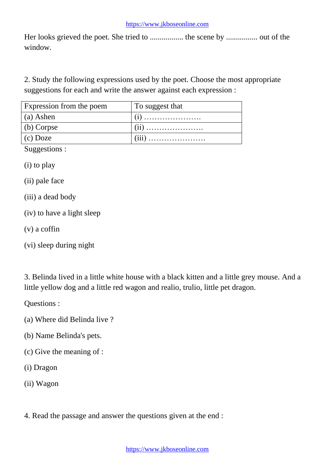Her looks grieved the poet. She tried to ................. the scene by ................ out of the window.

2. Study the following expressions used by the poet. Choose the most appropriate suggestions for each and write the answer against each expression :

| Expression from the poem | To suggest that |
|--------------------------|-----------------|
| (a) Ashen                |                 |
| $(b)$ Corpse             |                 |
| $(c)$ Doze               |                 |

Suggestions :

(i) to play

(ii) pale face

- (iii) a dead body
- (iv) to have a light sleep
- (v) a coffin
- (vi) sleep during night

3. Belinda lived in a little white house with a black kitten and a little grey mouse. And a little yellow dog and a little red wagon and realio, trulio, little pet dragon.

Questions :

- (a) Where did Belinda live ?
- (b) Name Belinda's pets.
- (c) Give the meaning of :
- (i) Dragon
- (ii) Wagon
- 4. Read the passage and answer the questions given at the end :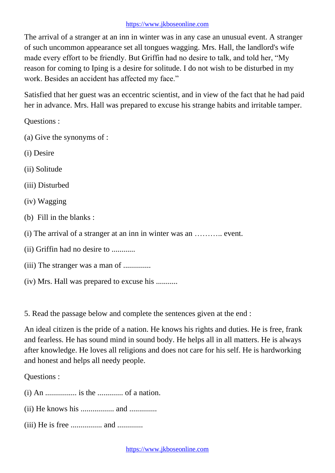The arrival of a stranger at an inn in winter was in any case an unusual event. A stranger of such uncommon appearance set all tongues wagging. Mrs. Hall, the landlord's wife made every effort to be friendly. But Griffin had no desire to talk, and told her, "My reason for coming to Iping is a desire for solitude. I do not wish to be disturbed in my work. Besides an accident has affected my face."

Satisfied that her guest was an eccentric scientist, and in view of the fact that he had paid her in advance. Mrs. Hall was prepared to excuse his strange habits and irritable tamper.

Questions :

- (a) Give the synonyms of :
- (i) Desire
- (ii) Solitude
- (iii) Disturbed
- (iv) Wagging
- (b) Fill in the blanks :
- (i) The arrival of a stranger at an inn in winter was an ……….. event.
- (ii) Griffin had no desire to ............
- (iii) The stranger was a man of ..............
- (iv) Mrs. Hall was prepared to excuse his ...........

5. Read the passage below and complete the sentences given at the end :

An ideal citizen is the pride of a nation. He knows his rights and duties. He is free, frank and fearless. He has sound mind in sound body. He helps all in all matters. He is always after knowledge. He loves all religions and does not care for his self. He is hardworking and honest and helps all needy people.

Questions :

 $(i)$  An  $\dots$  is the  $\dots$  is the  $\dots$  of a nation.

- (ii) He knows his ................. and ..............
- (iii) He is free ................ and .............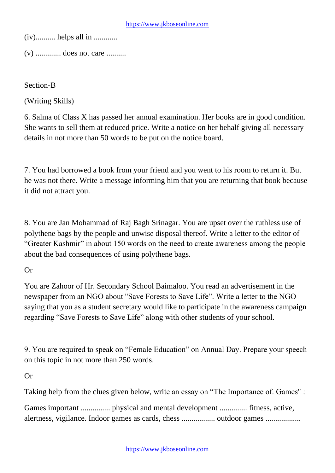(iv).......... helps all in ............

(v) ............. does not care ..........

Section-B

(Writing Skills)

6. Salma of Class X has passed her annual examination. Her books are in good condition. She wants to sell them at reduced price. Write a notice on her behalf giving all necessary details in not more than 50 words to be put on the notice board.

7. You had borrowed a book from your friend and you went to his room to return it. But he was not there. Write a message informing him that you are returning that book because it did not attract you.

8. You are Jan Mohammad of Raj Bagh Srinagar. You are upset over the ruthless use of polythene bags by the people and unwise disposal thereof. Write a letter to the editor of "Greater Kashmir" in about 150 words on the need to create awareness among the people about the bad consequences of using polythene bags.

# Or

You are Zahoor of Hr. Secondary School Baimaloo. You read an advertisement in the newspaper from an NGO about "Save Forests to Save Life". Write a letter to the NGO saying that you as a student secretary would like to participate in the awareness campaign regarding "Save Forests to Save Life" along with other students of your school.

9. You are required to speak on "Female Education" on Annual Day. Prepare your speech on this topic in not more than 250 words.

Or

Taking help from the clues given below, write an essay on "The Importance of. Games" :

Games important ............... physical and mental development .............. fitness, active, alertness, vigilance. Indoor games as cards, chess ................. outdoor games ..................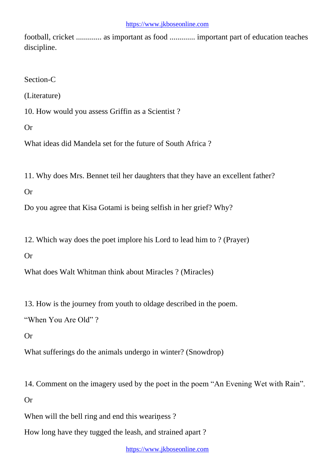football, cricket ............. as important as food ............. important part of education teaches discipline.

Section-C

(Literature)

10. How would you assess Griffin as a Scientist ?

Or

What ideas did Mandela set for the future of South Africa ?

11. Why does Mrs. Bennet teil her daughters that they have an excellent father?

Or

Do you agree that Kisa Gotami is being selfish in her grief? Why?

12. Which way does the poet implore his Lord to lead him to ? (Prayer)

Or

What does Walt Whitman think about Miracles ? (Miracles)

13. How is the journey from youth to oldage described in the poem.

"When You Are Old" ?

Or

What sufferings do the animals undergo in winter? (Snowdrop)

14. Comment on the imagery used by the poet in the poem "An Evening Wet with Rain".

Or

When will the bell ring and end this weariness?

How long have they tugged the leash, and strained apart ?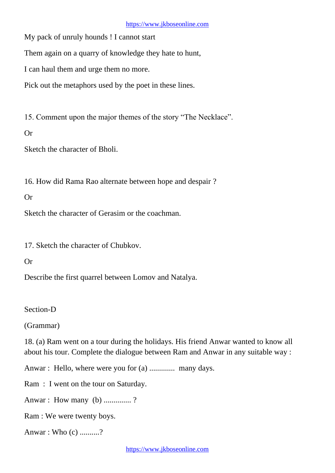My pack of unruly hounds ! I cannot start

Them again on a quarry of knowledge they hate to hunt,

I can haul them and urge them no more.

Pick out the metaphors used by the poet in these lines.

15. Comment upon the major themes of the story "The Necklace".

Or

Sketch the character of Bholi.

16. How did Rama Rao alternate between hope and despair ?

## Or

Sketch the character of Gerasim or the coachman.

17. Sketch the character of Chubkov.

## Or

Describe the first quarrel between Lomov and Natalya.

Section-D

(Grammar)

18. (a) Ram went on a tour during the holidays. His friend Anwar wanted to know all about his tour. Complete the dialogue between Ram and Anwar in any suitable way :

Anwar : Hello, where were you for (a) .............. many days.

Ram : I went on the tour on Saturday.

Anwar : How many (b) .............. ?

Ram : We were twenty boys.

Anwar : Who (c) ..........?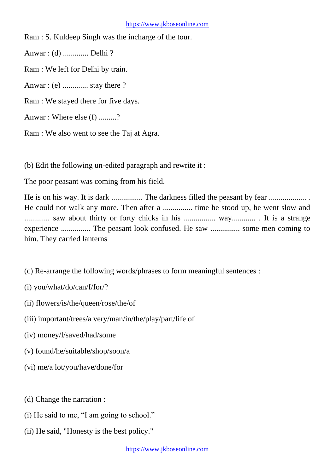Ram : S. Kuldeep Singh was the incharge of the tour.

Anwar : (d) ............. Delhi ?

Ram : We left for Delhi by train.

Anwar : (e) ............. stay there ?

Ram : We stayed there for five days.

Anwar : Where else (f) .........?

Ram : We also went to see the Taj at Agra.

(b) Edit the following un-edited paragraph and rewrite it :

The poor peasant was coming from his field.

He is on his way. It is dark ................ The darkness filled the peasant by fear ................... . He could not walk any more. Then after a ............... time he stood up, he went slow and ............. saw about thirty or forty chicks in his ................ way............ . It is a strange experience ............... The peasant look confused. He saw ............... some men coming to him. They carried lanterns

(c) Re-arrange the following words/phrases to form meaningful sentences :

(i) you/what/do/can/I/for/?

(ii) flowers/is/the/queen/rose/the/of

- (iii) important/trees/a very/man/in/the/play/part/life of
- (iv) money/l/saved/had/some
- (v) found/he/suitable/shop/soon/a
- (vi) me/a lot/you/have/done/for

(d) Change the narration :

- (i) He said to me, "I am going to school."
- (ii) He said, "Honesty is the best policy."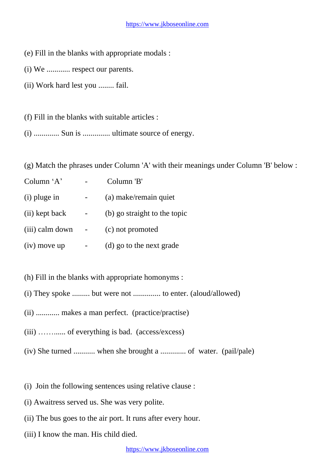- (e) Fill in the blanks with appropriate modals :
- (i) We ............ respect our parents.
- (ii) Work hard lest you ........ fail.
- (f) Fill in the blanks with suitable articles :
- (i) ............. Sun is .............. ultimate source of energy.

(g) Match the phrases under Column 'A' with their meanings under Column 'B' below :

| Column $A$      | Column 'B'                   |
|-----------------|------------------------------|
| $(i)$ pluge in  | (a) make/remain quiet        |
| (ii) kept back  | (b) go straight to the topic |
| (iii) calm down | (c) not promoted             |
| $(iv)$ move up  | (d) go to the next grade     |

- (h) Fill in the blanks with appropriate homonyms :
- (i) They spoke ......... but were not .............. to enter. (aloud/allowed)
- (ii) ............ makes a man perfect. (practice/practise)
- (iii) ……...... of everything is bad. (access/excess)
- (iv) She turned ........... when she brought a ............. of water. (pail/pale)
- (i) Join the following sentences using relative clause :
- (i) Awaitress served us. She was very polite.
- (ii) The bus goes to the air port. It runs after every hour.
- (iii) I know the man. His child died.